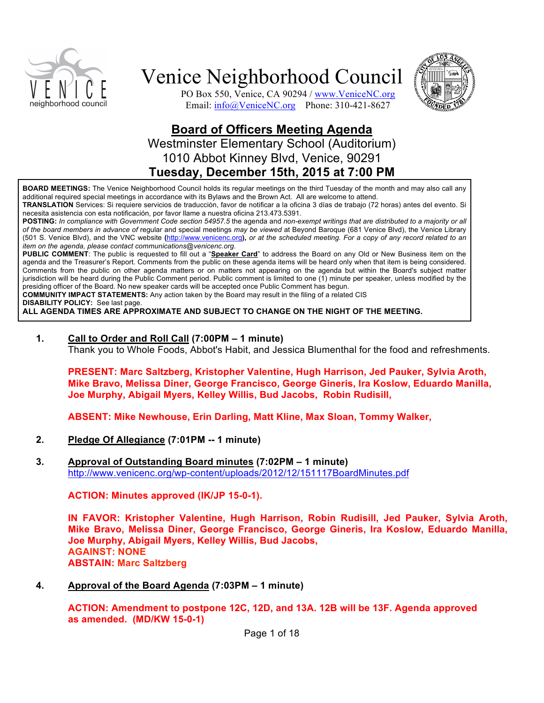



PO Box 550, Venice, CA 90294 / www.VeniceNC.org Email: info@VeniceNC.org Phone: 310-421-8627

## **Board of Officers Meeting Agenda** Westminster Elementary School (Auditorium) 1010 Abbot Kinney Blvd, Venice, 90291 **Tuesday, December 15th, 2015 at 7:00 PM**

**BOARD MEETINGS:** The Venice Neighborhood Council holds its regular meetings on the third Tuesday of the month and may also call any additional required special meetings in accordance with its Bylaws and the Brown Act. All are welcome to attend.

**TRANSLATION** Services: Si requiere servicios de traducción, favor de notificar a la oficina 3 días de trabajo (72 horas) antes del evento. Si necesita asistencia con esta notificación, por favor llame a nuestra oficina 213.473.5391.

**POSTING:** *In compliance with Government Code section 54957.5* the agenda and *non-exempt writings that are distributed to a majority or all of the board members in advance of* regular and special meetings *may be viewed* at Beyond Baroque (681 Venice Blvd), the Venice Library (501 S. Venice Blvd), and the VNC website **(**http://www.venicenc.org**),** *or at the scheduled meeting. For a copy of any record related to an item on the agenda, please contact communications@venicenc.org.*

**PUBLIC COMMENT**: The public is requested to fill out a "**Speaker Card**" to address the Board on any Old or New Business item on the agenda and the Treasurer's Report. Comments from the public on these agenda items will be heard only when that item is being considered. Comments from the public on other agenda matters or on matters not appearing on the agenda but within the Board's subject matter jurisdiction will be heard during the Public Comment period. Public comment is limited to one (1) minute per speaker, unless modified by the presiding officer of the Board. No new speaker cards will be accepted once Public Comment has begun.

**COMMUNITY IMPACT STATEMENTS:** Any action taken by the Board may result in the filing of a related CIS

**DISABILITY POLICY:** See last page.

**ALL AGENDA TIMES ARE APPROXIMATE AND SUBJECT TO CHANGE ON THE NIGHT OF THE MEETING.**

**1. Call to Order and Roll Call (7:00PM – 1 minute)**

Thank you to Whole Foods, Abbot's Habit, and Jessica Blumenthal for the food and refreshments.

**PRESENT: Marc Saltzberg, Kristopher Valentine, Hugh Harrison, Jed Pauker, Sylvia Aroth, Mike Bravo, Melissa Diner, George Francisco, George Gineris, Ira Koslow, Eduardo Manilla, Joe Murphy, Abigail Myers, Kelley Willis, Bud Jacobs, Robin Rudisill,**

**ABSENT: Mike Newhouse, Erin Darling, Matt Kline, Max Sloan, Tommy Walker,**

- **2. Pledge Of Allegiance (7:01PM -- 1 minute)**
- **3. Approval of Outstanding Board minutes (7:02PM 1 minute)** http://www.venicenc.org/wp-content/uploads/2012/12/151117BoardMinutes.pdf

**ACTION: Minutes approved (IK/JP 15-0-1).**

**IN FAVOR: Kristopher Valentine, Hugh Harrison, Robin Rudisill, Jed Pauker, Sylvia Aroth, Mike Bravo, Melissa Diner, George Francisco, George Gineris, Ira Koslow, Eduardo Manilla, Joe Murphy, Abigail Myers, Kelley Willis, Bud Jacobs, AGAINST: NONE ABSTAIN: Marc Saltzberg**

**4. Approval of the Board Agenda (7:03PM – 1 minute)**

**ACTION: Amendment to postpone 12C, 12D, and 13A. 12B will be 13F. Agenda approved as amended. (MD/KW 15-0-1)**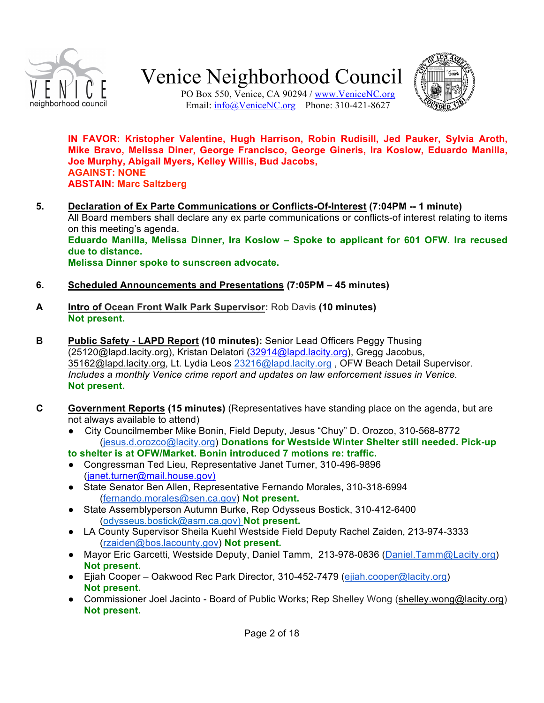

PO Box 550, Venice, CA 90294 / www.VeniceNC.org Email: info@VeniceNC.org Phone: 310-421-8627

**IN FAVOR: Kristopher Valentine, Hugh Harrison, Robin Rudisill, Jed Pauker, Sylvia Aroth, Mike Bravo, Melissa Diner, George Francisco, George Gineris, Ira Koslow, Eduardo Manilla, Joe Murphy, Abigail Myers, Kelley Willis, Bud Jacobs, AGAINST: NONE ABSTAIN: Marc Saltzberg**

- **5. Declaration of Ex Parte Communications or Conflicts-Of-Interest (7:04PM -- 1 minute)**  All Board members shall declare any ex parte communications or conflicts-of interest relating to items on this meeting's agenda. **Eduardo Manilla, Melissa Dinner, Ira Koslow – Spoke to applicant for 601 OFW. Ira recused due to distance. Melissa Dinner spoke to sunscreen advocate.**
- **6. Scheduled Announcements and Presentations (7:05PM 45 minutes)**
- **A Intro of Ocean Front Walk Park Supervisor:** Rob Davis **(10 minutes) Not present.**
- **B Public Safety LAPD Report (10 minutes):** Senior Lead Officers Peggy Thusing (25120@lapd.lacity.org), Kristan Delatori (32914@lapd.lacity.org), Gregg Jacobus, 35162@lapd.lacity.org, Lt. Lydia Leos 23216@lapd.lacity.org, OFW Beach Detail Supervisor. *Includes a monthly Venice crime report and updates on law enforcement issues in Venice.* **Not present.**
- **C Government Reports (15 minutes)** (Representatives have standing place on the agenda, but are not always available to attend)
	- City Councilmember Mike Bonin, Field Deputy, Jesus "Chuy" D. Orozco, 310-568-8772 (jesus.d.orozco@lacity.org) **Donations for Westside Winter Shelter still needed. Pick-up**
	- **to shelter is at OFW/Market. Bonin introduced 7 motions re: traffic.**
	- Congressman Ted Lieu, Representative Janet Turner, 310-496-9896 (janet.turner@mail.house.gov)
	- State Senator Ben Allen, Representative Fernando Morales, 310-318-6994 (fernando.morales@sen.ca.gov) **Not present.**
	- State Assemblyperson Autumn Burke, Rep Odysseus Bostick, 310-412-6400 (odysseus.bostick@asm.ca.gov) **Not present.**
	- LA County Supervisor Sheila Kuehl Westside Field Deputy Rachel Zaiden, 213-974-3333 (rzaiden@bos.lacounty.gov) **Not present.**
	- Mayor Eric Garcetti, Westside Deputy, Daniel Tamm, 213-978-0836 (Daniel.Tamm@Lacity.org) **Not present.**
	- Ejiah Cooper Oakwood Rec Park Director, 310-452-7479 (ejiah.cooper@lacity.org) **Not present.**
	- Commissioner Joel Jacinto Board of Public Works; Rep Shelley Wong (shelley.wong@lacity.org) **Not present.**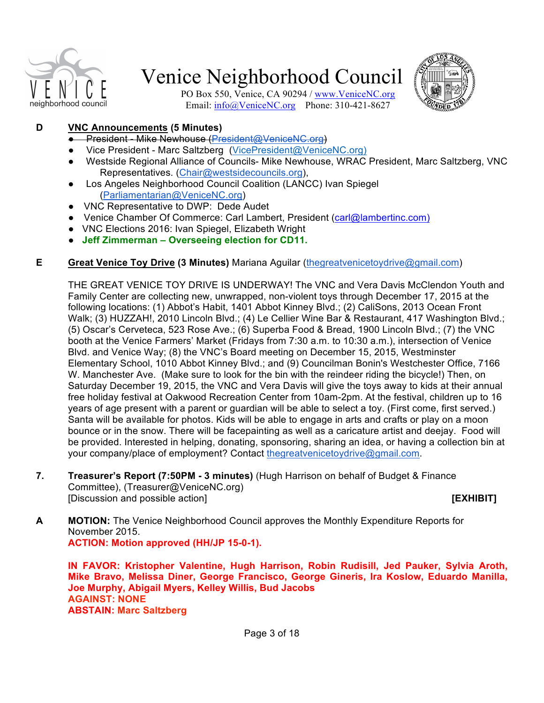



PO Box 550, Venice, CA 90294 / www.VeniceNC.org Email: info@VeniceNC.org Phone: 310-421-8627

## **D VNC Announcements (5 Minutes)**

- President Mike Newhouse (President@VeniceNC.org)
- Vice President Marc Saltzberg (VicePresident@VeniceNC.org)
- Westside Regional Alliance of Councils- Mike Newhouse, WRAC President, Marc Saltzberg, VNC Representatives. (Chair@westsidecouncils.org),
- Los Angeles Neighborhood Council Coalition (LANCC) Ivan Spiegel (Parliamentarian@VeniceNC.org)
- VNC Representative to DWP: Dede Audet
- Venice Chamber Of Commerce: Carl Lambert, President (carl@lambertinc.com)
- VNC Elections 2016: Ivan Spiegel, Elizabeth Wright
- **Jeff Zimmerman Overseeing election for CD11.**

#### **E Great Venice Toy Drive (3 Minutes)** Mariana Aguilar (thegreatvenicetoydrive@gmail.com)

THE GREAT VENICE TOY DRIVE IS UNDERWAY! The VNC and Vera Davis McClendon Youth and Family Center are collecting new, unwrapped, non-violent toys through December 17, 2015 at the following locations: (1) Abbot's Habit, 1401 Abbot Kinney Blvd.; (2) CaliSons, 2013 Ocean Front Walk; (3) HUZZAH!, 2010 Lincoln Blvd.; (4) Le Cellier Wine Bar & Restaurant, 417 Washington Blvd.; (5) Oscar's Cerveteca, 523 Rose Ave.; (6) Superba Food & Bread, 1900 Lincoln Blvd.; (7) the VNC booth at the Venice Farmers' Market (Fridays from 7:30 a.m. to 10:30 a.m.), intersection of Venice Blvd. and Venice Way; (8) the VNC's Board meeting on December 15, 2015, Westminster Elementary School, 1010 Abbot Kinney Blvd.; and (9) Councilman Bonin's Westchester Office, 7166 W. Manchester Ave. (Make sure to look for the bin with the reindeer riding the bicycle!) Then, on Saturday December 19, 2015, the VNC and Vera Davis will give the toys away to kids at their annual free holiday festival at Oakwood Recreation Center from 10am-2pm. At the festival, children up to 16 years of age present with a parent or guardian will be able to select a toy. (First come, first served.) Santa will be available for photos. Kids will be able to engage in arts and crafts or play on a moon bounce or in the snow. There will be facepainting as well as a caricature artist and deejay. Food will be provided. Interested in helping, donating, sponsoring, sharing an idea, or having a collection bin at your company/place of employment? Contact thegreatvenicetoydrive@gmail.com.

**7. Treasurer's Report (7:50PM - 3 minutes)** (Hugh Harrison on behalf of Budget & Finance Committee), (Treasurer@VeniceNC.org) [Discussion and possible action] **[EXHIBIT]**

**A MOTION:** The Venice Neighborhood Council approves the Monthly Expenditure Reports for November 2015. **ACTION: Motion approved (HH/JP 15-0-1).**

**IN FAVOR: Kristopher Valentine, Hugh Harrison, Robin Rudisill, Jed Pauker, Sylvia Aroth, Mike Bravo, Melissa Diner, George Francisco, George Gineris, Ira Koslow, Eduardo Manilla, Joe Murphy, Abigail Myers, Kelley Willis, Bud Jacobs AGAINST: NONE ABSTAIN: Marc Saltzberg**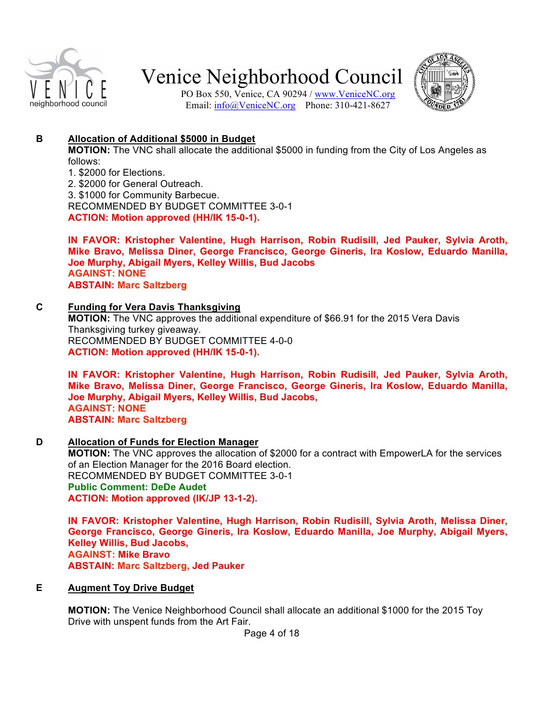

PO Box 550, Venice, CA 90294 / www.VeniceNC.org Email: info@VeniceNC.org Phone: 310-421-8627



### **B Allocation of Additional \$5000 in Budget**

**MOTION:** The VNC shall allocate the additional \$5000 in funding from the City of Los Angeles as follows:

1. \$2000 for Elections.

2. \$2000 for General Outreach.

3. \$1000 for Community Barbecue. RECOMMENDED BY BUDGET COMMITTEE 3-0-1

**ACTION: Motion approved (HH/IK 15-0-1).**

**IN FAVOR: Kristopher Valentine, Hugh Harrison, Robin Rudisill, Jed Pauker, Sylvia Aroth, Mike Bravo, Melissa Diner, George Francisco, George Gineris, Ira Koslow, Eduardo Manilla, Joe Murphy, Abigail Myers, Kelley Willis, Bud Jacobs AGAINST: NONE ABSTAIN: Marc Saltzberg**

**C Funding for Vera Davis Thanksgiving MOTION:** The VNC approves the additional expenditure of \$66.91 for the 2015 Vera Davis Thanksgiving turkey giveaway. RECOMMENDED BY BUDGET COMMITTEE 4-0-0 **ACTION: Motion approved (HH/IK 15-0-1).**

**IN FAVOR: Kristopher Valentine, Hugh Harrison, Robin Rudisill, Jed Pauker, Sylvia Aroth, Mike Bravo, Melissa Diner, George Francisco, George Gineris, Ira Koslow, Eduardo Manilla, Joe Murphy, Abigail Myers, Kelley Willis, Bud Jacobs, AGAINST: NONE ABSTAIN: Marc Saltzberg**

**D Allocation of Funds for Election Manager MOTION:** The VNC approves the allocation of \$2000 for a contract with EmpowerLA for the services of an Election Manager for the 2016 Board election. RECOMMENDED BY BUDGET COMMITTEE 3-0-1 **Public Comment: DeDe Audet ACTION: Motion approved (IK/JP 13-1-2).**

**IN FAVOR: Kristopher Valentine, Hugh Harrison, Robin Rudisill, Sylvia Aroth, Melissa Diner, George Francisco, George Gineris, Ira Koslow, Eduardo Manilla, Joe Murphy, Abigail Myers, Kelley Willis, Bud Jacobs, AGAINST: Mike Bravo ABSTAIN: Marc Saltzberg, Jed Pauker**

## **E Augment Toy Drive Budget**

**MOTION:** The Venice Neighborhood Council shall allocate an additional \$1000 for the 2015 Toy Drive with unspent funds from the Art Fair.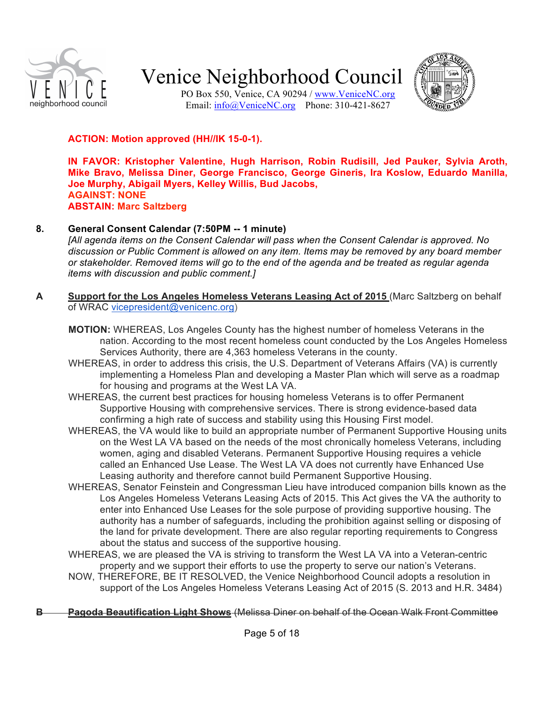

PO Box 550, Venice, CA 90294 / www.VeniceNC.org Email: info@VeniceNC.org Phone: 310-421-8627



### **ACTION: Motion approved (HH//IK 15-0-1).**

**IN FAVOR: Kristopher Valentine, Hugh Harrison, Robin Rudisill, Jed Pauker, Sylvia Aroth, Mike Bravo, Melissa Diner, George Francisco, George Gineris, Ira Koslow, Eduardo Manilla, Joe Murphy, Abigail Myers, Kelley Willis, Bud Jacobs, AGAINST: NONE ABSTAIN: Marc Saltzberg**

#### **8. General Consent Calendar (7:50PM -- 1 minute)**

*[All agenda items on the Consent Calendar will pass when the Consent Calendar is approved. No discussion or Public Comment is allowed on any item. Items may be removed by any board member or stakeholder. Removed items will go to the end of the agenda and be treated as regular agenda items with discussion and public comment.]*

- **A Support for the Los Angeles Homeless Veterans Leasing Act of 2015** (Marc Saltzberg on behalf of WRAC vicepresident@venicenc.org)
	- **MOTION:** WHEREAS, Los Angeles County has the highest number of homeless Veterans in the nation. According to the most recent homeless count conducted by the Los Angeles Homeless Services Authority, there are 4,363 homeless Veterans in the county.
	- WHEREAS, in order to address this crisis, the U.S. Department of Veterans Affairs (VA) is currently implementing a Homeless Plan and developing a Master Plan which will serve as a roadmap for housing and programs at the West LA VA.
	- WHEREAS, the current best practices for housing homeless Veterans is to offer Permanent Supportive Housing with comprehensive services. There is strong evidence-based data confirming a high rate of success and stability using this Housing First model.
	- WHEREAS, the VA would like to build an appropriate number of Permanent Supportive Housing units on the West LA VA based on the needs of the most chronically homeless Veterans, including women, aging and disabled Veterans. Permanent Supportive Housing requires a vehicle called an Enhanced Use Lease. The West LA VA does not currently have Enhanced Use Leasing authority and therefore cannot build Permanent Supportive Housing.
	- WHEREAS, Senator Feinstein and Congressman Lieu have introduced companion bills known as the Los Angeles Homeless Veterans Leasing Acts of 2015. This Act gives the VA the authority to enter into Enhanced Use Leases for the sole purpose of providing supportive housing. The authority has a number of safeguards, including the prohibition against selling or disposing of the land for private development. There are also regular reporting requirements to Congress about the status and success of the supportive housing.
	- WHEREAS, we are pleased the VA is striving to transform the West LA VA into a Veteran-centric property and we support their efforts to use the property to serve our nation's Veterans.
	- NOW, THEREFORE, BE IT RESOLVED, the Venice Neighborhood Council adopts a resolution in support of the Los Angeles Homeless Veterans Leasing Act of 2015 (S. 2013 and H.R. 3484)

#### **B Pagoda Beautification Light Shows** (Melissa Diner on behalf of the Ocean Walk Front Committee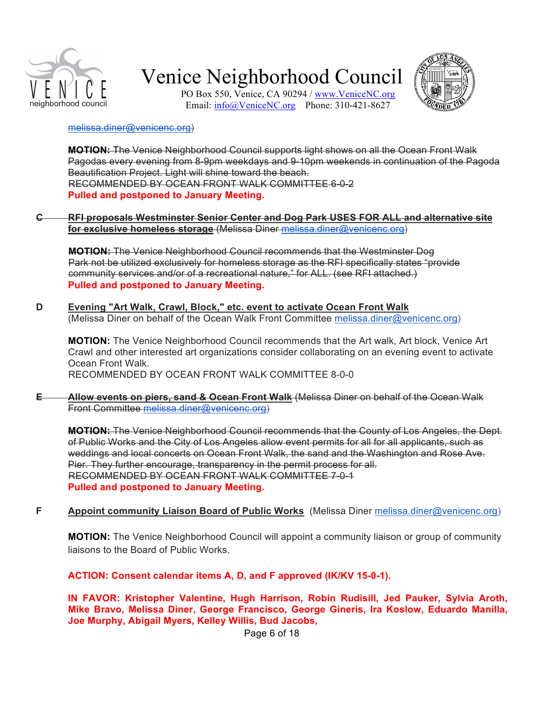



PO Box 550, Venice, CA 90294 / www.VeniceNC.org Email: info@VeniceNC.org Phone: 310-421-8627

#### melissa.diner@venicenc.org)

**MOTION:** The Venice Neighborhood Council supports light shows on all the Ocean Front Walk Pagodas every evening from 8-9pm weekdays and 9-10pm weekends in continuation of the Pagoda Beautification Project. Light will shine toward the beach. RECOMMENDED BY OCEAN FRONT WALK COMMITTEE 6-0-2 **Pulled and postponed to January Meeting.**

#### **C RFI proposals Westminster Senior Center and Dog Park USES FOR ALL and alternative site for exclusive homeless storage** (Melissa Diner melissa.diner@venicenc.org)

**MOTION:** The Venice Neighborhood Council recommends that the Westminster Dog Park not be utilized exclusively for homeless storage as the RFI specifically states "provide community services and/or of a recreational nature," for ALL. (see RFI attached.) **Pulled and postponed to January Meeting.**

**D Evening "Art Walk, Crawl, Block," etc. event to activate Ocean Front Walk**  (Melissa Diner on behalf of the Ocean Walk Front Committee melissa.diner@venicenc.org)

**MOTION:** The Venice Neighborhood Council recommends that the Art walk, Art block, Venice Art Crawl and other interested art organizations consider collaborating on an evening event to activate Ocean Front Walk. RECOMMENDED BY OCEAN FRONT WALK COMMITTEE 8-0-0

**E Allow events on piers, sand & Ocean Front Walk** (Melissa Diner on behalf of the Ocean Walk Front Committee melissa.diner@venicenc.org)

**MOTION:** The Venice Neighborhood Council recommends that the County of Los Angeles, the Dept. of Public Works and the City of Los Angeles allow event permits for all for all applicants, such as weddings and local concerts on Ocean Front Walk, the sand and the Washington and Rose Ave. Pier. They further encourage, transparency in the permit process for all. RECOMMENDED BY OCEAN FRONT WALK COMMITTEE 7-0-1 **Pulled and postponed to January Meeting.**

**F Appoint community Liaison Board of Public Works** (Melissa Diner melissa.diner@venicenc.org)

**MOTION:** The Venice Neighborhood Council will appoint a community liaison or group of community liaisons to the Board of Public Works.

**ACTION: Consent calendar items A, D, and F approved (IK/KV 15-0-1).**

**IN FAVOR: Kristopher Valentine, Hugh Harrison, Robin Rudisill, Jed Pauker, Sylvia Aroth, Mike Bravo, Melissa Diner, George Francisco, George Gineris, Ira Koslow, Eduardo Manilla, Joe Murphy, Abigail Myers, Kelley Willis, Bud Jacobs,**

Page 6 of 18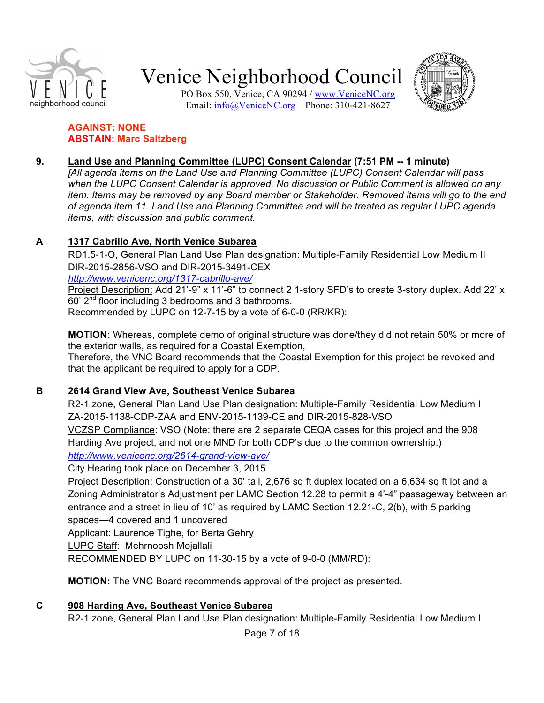

PO Box 550, Venice, CA 90294 / www.VeniceNC.org Email: info@VeniceNC.org Phone: 310-421-8627



#### **AGAINST: NONE ABSTAIN: Marc Saltzberg**

### **9. Land Use and Planning Committee (LUPC) Consent Calendar (7:51 PM -- 1 minute)**

*[All agenda items on the Land Use and Planning Committee (LUPC) Consent Calendar will pass when the LUPC Consent Calendar is approved. No discussion or Public Comment is allowed on any item. Items may be removed by any Board member or Stakeholder. Removed items will go to the end of agenda item 11. Land Use and Planning Committee and will be treated as regular LUPC agenda items, with discussion and public comment.*

### **A 1317 Cabrillo Ave, North Venice Subarea**

RD1.5-1-O, General Plan Land Use Plan designation: Multiple-Family Residential Low Medium II DIR-2015-2856-VSO and DIR-2015-3491-CEX

*http://www.venicenc.org/1317-cabrillo-ave/*

Project Description: Add 21'-9" x 11'-6" to connect 2 1-story SFD's to create 3-story duplex. Add 22' x  $60'$   $2<sup>nd</sup>$  floor including 3 bedrooms and 3 bathrooms. Recommended by LUPC on 12-7-15 by a vote of 6-0-0 (RR/KR):

**MOTION:** Whereas, complete demo of original structure was done/they did not retain 50% or more of the exterior walls, as required for a Coastal Exemption,

Therefore, the VNC Board recommends that the Coastal Exemption for this project be revoked and that the applicant be required to apply for a CDP.

## **B 2614 Grand View Ave, Southeast Venice Subarea**

R2-1 zone, General Plan Land Use Plan designation: Multiple-Family Residential Low Medium I ZA-2015-1138-CDP-ZAA and ENV-2015-1139-CE and DIR-2015-828-VSO VCZSP Compliance: VSO (Note: there are 2 separate CEQA cases for this project and the 908 Harding Ave project, and not one MND for both CDP's due to the common ownership.) *http://www.venicenc.org/2614-grand-view-ave/*

City Hearing took place on December 3, 2015

Project Description: Construction of a 30' tall, 2,676 sq ft duplex located on a 6,634 sq ft lot and a Zoning Administrator's Adjustment per LAMC Section 12.28 to permit a 4'-4" passageway between an entrance and a street in lieu of 10' as required by LAMC Section 12.21-C, 2(b), with 5 parking spaces—4 covered and 1 uncovered

Applicant: Laurence Tighe, for Berta Gehry

LUPC Staff: Mehrnoosh Mojallali

RECOMMENDED BY LUPC on 11-30-15 by a vote of 9-0-0 (MM/RD):

**MOTION:** The VNC Board recommends approval of the project as presented.

**C 908 Harding Ave, Southeast Venice Subarea** R2-1 zone, General Plan Land Use Plan designation: Multiple-Family Residential Low Medium I

Page 7 of 18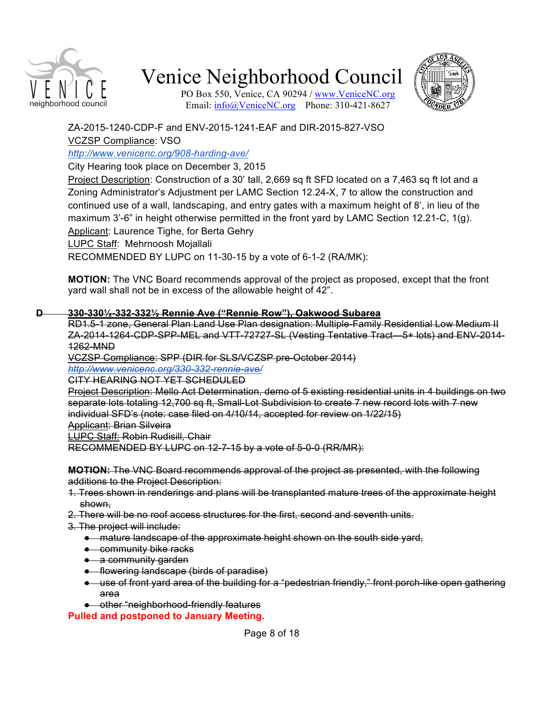



PO Box 550, Venice, CA 90294 / www.VeniceNC.org Email:  $info(a)$ VeniceNC.org Phone: 310-421-8627

ZA-2015-1240-CDP-F and ENV-2015-1241-EAF and DIR-2015-827-VSO VCZSP Compliance: VSO

*http://www.venicenc.org/908-harding-ave/*

City Hearing took place on December 3, 2015

Project Description: Construction of a 30' tall, 2,669 sq ft SFD located on a 7,463 sq ft lot and a Zoning Administrator's Adjustment per LAMC Section 12.24-X, 7 to allow the construction and continued use of a wall, landscaping, and entry gates with a maximum height of 8', in lieu of the maximum 3'-6" in height otherwise permitted in the front yard by LAMC Section 12.21-C, 1(g). Applicant: Laurence Tighe, for Berta Gehry

LUPC Staff: Mehrnoosh Mojallali

RECOMMENDED BY LUPC on 11-30-15 by a vote of 6-1-2 (RA/MK):

**MOTION:** The VNC Board recommends approval of the project as proposed, except that the front yard wall shall not be in excess of the allowable height of 42".

#### **D 330-330½-332-332½ Rennie Ave ("Rennie Row"), Oakwood Subarea**

RD1.5-1 zone, General Plan Land Use Plan designation: Multiple-Family Residential Low Medium II ZA-2014-1264-CDP-SPP-MEL and VTT-72727-SL (Vesting Tentative Tract—5+ lots) and ENV-2014- 1262-MND

VCZSP Compliance: SPP (DIR for SLS/VCZSP pre-October 2014)

*http://www.venicenc.org/330-332-rennie-ave/*

CITY HEARING NOT YET SCHEDULED

Project Description: Mello Act Determination, demo of 5 existing residential units in 4 buildings on two separate lots totaling 12,700 sq ft, Small-Lot Subdivision to create 7 new record lots with 7 new individual SFD's (note: case filed on 4/10/14, accepted for review on 1/22/15) Applicant: Brian Silveira

LUPC Staff: Robin Rudisill, Chair

RECOMMENDED BY LUPC on 12-7-15 by a vote of 5-0-0 (RR/MR):

**MOTION:** The VNC Board recommends approval of the project as presented, with the following additions to the Project Description:

- 1. Trees shown in renderings and plans will be transplanted mature trees of the approximate height shown,
- 2. There will be no roof access structures for the first, second and seventh units.
- 3. The project will include:
	- mature landscape of the approximate height shown on the south side yard,
	- community bike racks
	- a community garden
	- flowering landscape (birds of paradise)
	- use of front yard area of the building for a "pedestrian friendly," front porch-like open gathering area
	- other "neighborhood-friendly features

**Pulled and postponed to January Meeting.**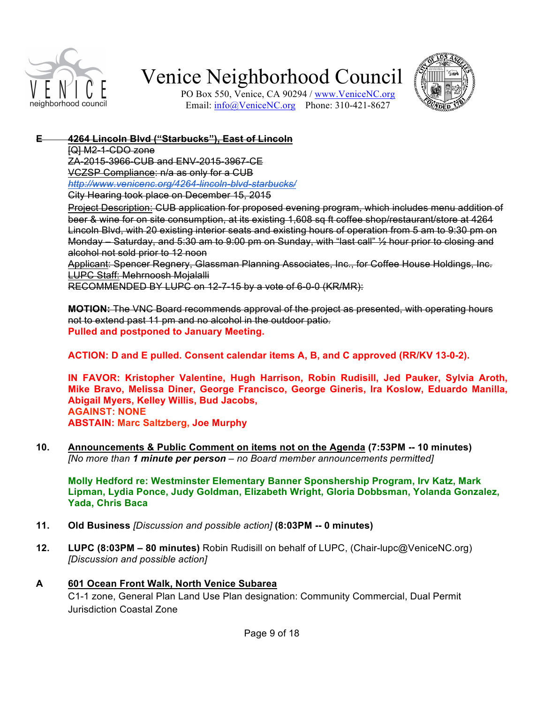



PO Box 550, Venice, CA 90294 / www.VeniceNC.org Email: info@VeniceNC.org Phone: 310-421-8627

### **E 4264 Lincoln Blvd ("Starbucks"), East of Lincoln**

[Q] M2-1-CDO zone

ZA-2015-3966-CUB and ENV-2015-3967-CE VCZSP Compliance: n/a as only for a CUB *http://www.venicenc.org/4264-lincoln-blvd-starbucks/* City Hearing took place on December 15, 2015

Project Description: CUB application for proposed evening program, which includes menu addition of beer & wine for on site consumption, at its existing 1,608 sq ft coffee shop/restaurant/store at 4264 Lincoln Blvd, with 20 existing interior seats and existing hours of operation from 5 am to 9:30 pm on Monday – Saturday, and 5:30 am to 9:00 pm on Sunday, with "last call" ½ hour prior to closing and alcohol not sold prior to 12 noon

Applicant: Spencer Regnery, Glassman Planning Associates, Inc., for Coffee House Holdings, Inc. LUPC Staff: Mehrnoosh Mojalalli

RECOMMENDED BY LUPC on 12-7-15 by a vote of 6-0-0 (KR/MR):

**MOTION:** The VNC Board recommends approval of the project as presented, with operating hours not to extend past 11 pm and no alcohol in the outdoor patio. **Pulled and postponed to January Meeting.**

**ACTION: D and E pulled. Consent calendar items A, B, and C approved (RR/KV 13-0-2).**

**IN FAVOR: Kristopher Valentine, Hugh Harrison, Robin Rudisill, Jed Pauker, Sylvia Aroth, Mike Bravo, Melissa Diner, George Francisco, George Gineris, Ira Koslow, Eduardo Manilla, Abigail Myers, Kelley Willis, Bud Jacobs, AGAINST: NONE ABSTAIN: Marc Saltzberg, Joe Murphy**

**10. Announcements & Public Comment on items not on the Agenda (7:53PM -- 10 minutes)** *[No more than 1 minute per person – no Board member announcements permitted]*

**Molly Hedford re: Westminster Elementary Banner Sponshership Program, Irv Katz, Mark Lipman, Lydia Ponce, Judy Goldman, Elizabeth Wright, Gloria Dobbsman, Yolanda Gonzalez, Yada, Chris Baca**

- **11. Old Business** *[Discussion and possible action]* **(8:03PM -- 0 minutes)**
- **12. LUPC (8:03PM 80 minutes)** Robin Rudisill on behalf of LUPC, (Chair-lupc@VeniceNC.org) *[Discussion and possible action]*

#### **A 601 Ocean Front Walk, North Venice Subarea**

C1-1 zone, General Plan Land Use Plan designation: Community Commercial, Dual Permit Jurisdiction Coastal Zone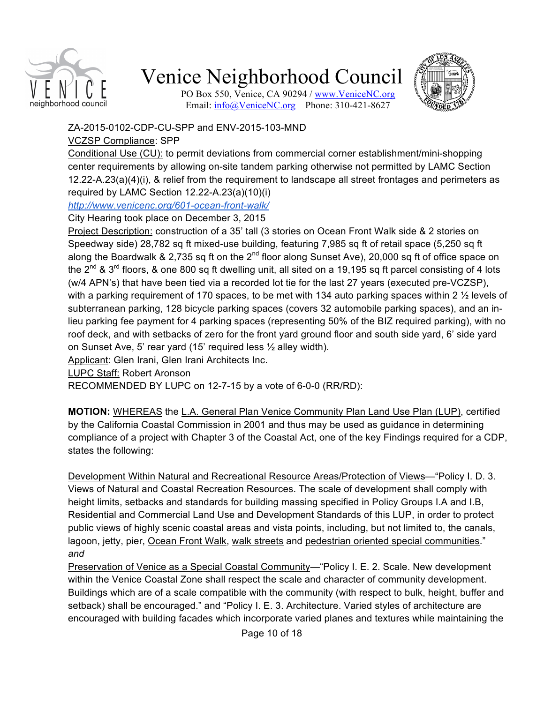

PO Box 550, Venice, CA 90294 / www.VeniceNC.org Email: info@VeniceNC.org Phone: 310-421-8627



ZA-2015-0102-CDP-CU-SPP and ENV-2015-103-MND

## VCZSP Compliance: SPP

Conditional Use (CU): to permit deviations from commercial corner establishment/mini-shopping center requirements by allowing on-site tandem parking otherwise not permitted by LAMC Section 12.22-A.23(a)(4)(i), & relief from the requirement to landscape all street frontages and perimeters as required by LAMC Section 12.22-A.23(a)(10)(i)

*http://www.venicenc.org/601-ocean-front-walk/*

## City Hearing took place on December 3, 2015

Project Description: construction of a 35' tall (3 stories on Ocean Front Walk side & 2 stories on Speedway side) 28,782 sq ft mixed-use building, featuring 7,985 sq ft of retail space (5,250 sq ft along the Boardwalk & 2,735 sq ft on the 2<sup>nd</sup> floor along Sunset Ave), 20,000 sq ft of office space on the 2<sup>nd</sup> & 3<sup>rd</sup> floors, & one 800 sq ft dwelling unit, all sited on a 19,195 sq ft parcel consisting of 4 lots (w/4 APN's) that have been tied via a recorded lot tie for the last 27 years (executed pre-VCZSP), with a parking requirement of 170 spaces, to be met with 134 auto parking spaces within 2  $\frac{1}{2}$  levels of subterranean parking, 128 bicycle parking spaces (covers 32 automobile parking spaces), and an inlieu parking fee payment for 4 parking spaces (representing 50% of the BIZ required parking), with no roof deck, and with setbacks of zero for the front yard ground floor and south side yard, 6' side yard on Sunset Ave, 5' rear yard (15' required less ½ alley width).

Applicant: Glen Irani, Glen Irani Architects Inc.

LUPC Staff: Robert Aronson

RECOMMENDED BY LUPC on 12-7-15 by a vote of 6-0-0 (RR/RD):

**MOTION:** WHEREAS the L.A. General Plan Venice Community Plan Land Use Plan (LUP), certified by the California Coastal Commission in 2001 and thus may be used as guidance in determining compliance of a project with Chapter 3 of the Coastal Act, one of the key Findings required for a CDP, states the following:

Development Within Natural and Recreational Resource Areas/Protection of Views—"Policy I. D. 3. Views of Natural and Coastal Recreation Resources. The scale of development shall comply with height limits, setbacks and standards for building massing specified in Policy Groups I.A and I.B, Residential and Commercial Land Use and Development Standards of this LUP, in order to protect public views of highly scenic coastal areas and vista points, including, but not limited to, the canals, lagoon, jetty, pier, Ocean Front Walk, walk streets and pedestrian oriented special communities." *and*

Preservation of Venice as a Special Coastal Community-"Policy I. E. 2. Scale. New development within the Venice Coastal Zone shall respect the scale and character of community development. Buildings which are of a scale compatible with the community (with respect to bulk, height, buffer and setback) shall be encouraged." and "Policy I. E. 3. Architecture. Varied styles of architecture are encouraged with building facades which incorporate varied planes and textures while maintaining the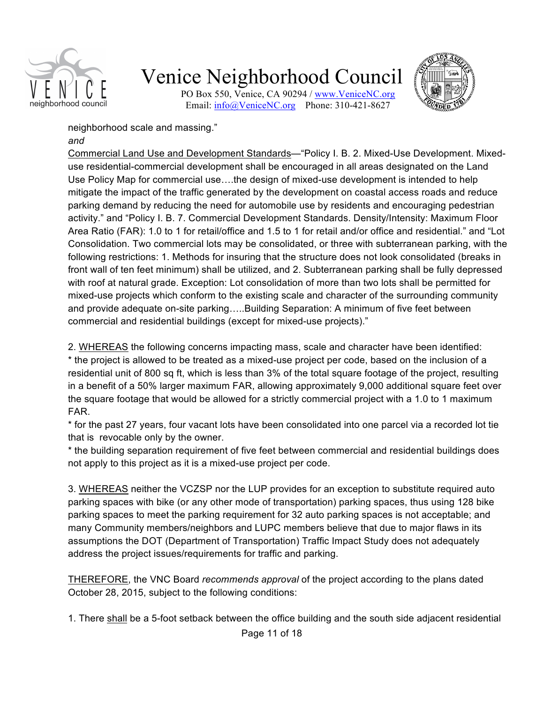

PO Box 550, Venice, CA 90294 / www.VeniceNC.org Email: info@VeniceNC.org Phone: 310-421-8627



neighborhood scale and massing." *and*

Commercial Land Use and Development Standards—"Policy I. B. 2. Mixed-Use Development. Mixeduse residential-commercial development shall be encouraged in all areas designated on the Land Use Policy Map for commercial use….the design of mixed-use development is intended to help mitigate the impact of the traffic generated by the development on coastal access roads and reduce parking demand by reducing the need for automobile use by residents and encouraging pedestrian activity." and "Policy I. B. 7. Commercial Development Standards. Density/Intensity: Maximum Floor Area Ratio (FAR): 1.0 to 1 for retail/office and 1.5 to 1 for retail and/or office and residential." and "Lot Consolidation. Two commercial lots may be consolidated, or three with subterranean parking, with the following restrictions: 1. Methods for insuring that the structure does not look consolidated (breaks in front wall of ten feet minimum) shall be utilized, and 2. Subterranean parking shall be fully depressed with roof at natural grade. Exception: Lot consolidation of more than two lots shall be permitted for mixed-use projects which conform to the existing scale and character of the surrounding community and provide adequate on-site parking…..Building Separation: A minimum of five feet between commercial and residential buildings (except for mixed-use projects)."

2. WHEREAS the following concerns impacting mass, scale and character have been identified: \* the project is allowed to be treated as a mixed-use project per code, based on the inclusion of a residential unit of 800 sq ft, which is less than 3% of the total square footage of the project, resulting in a benefit of a 50% larger maximum FAR, allowing approximately 9,000 additional square feet over the square footage that would be allowed for a strictly commercial project with a 1.0 to 1 maximum FAR.

\* for the past 27 years, four vacant lots have been consolidated into one parcel via a recorded lot tie that is revocable only by the owner.

\* the building separation requirement of five feet between commercial and residential buildings does not apply to this project as it is a mixed-use project per code.

3. WHEREAS neither the VCZSP nor the LUP provides for an exception to substitute required auto parking spaces with bike (or any other mode of transportation) parking spaces, thus using 128 bike parking spaces to meet the parking requirement for 32 auto parking spaces is not acceptable; and many Community members/neighbors and LUPC members believe that due to major flaws in its assumptions the DOT (Department of Transportation) Traffic Impact Study does not adequately address the project issues/requirements for traffic and parking.

THEREFORE, the VNC Board *recommends approval* of the project according to the plans dated October 28, 2015, subject to the following conditions:

1. There shall be a 5-foot setback between the office building and the south side adjacent residential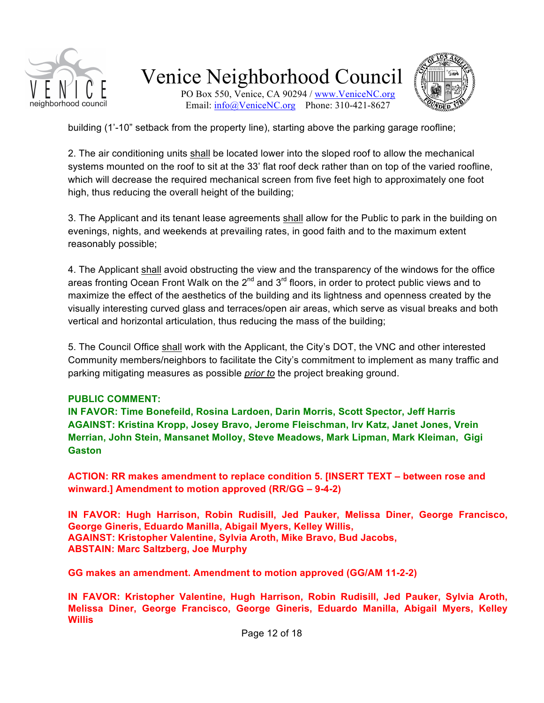

PO Box 550, Venice, CA 90294 / www.VeniceNC.org Email: info@VeniceNC.org Phone: 310-421-8627



building (1'-10" setback from the property line), starting above the parking garage roofline;

2. The air conditioning units shall be located lower into the sloped roof to allow the mechanical systems mounted on the roof to sit at the 33' flat roof deck rather than on top of the varied roofline, which will decrease the required mechanical screen from five feet high to approximately one foot high, thus reducing the overall height of the building;

3. The Applicant and its tenant lease agreements shall allow for the Public to park in the building on evenings, nights, and weekends at prevailing rates, in good faith and to the maximum extent reasonably possible;

4. The Applicant shall avoid obstructing the view and the transparency of the windows for the office areas fronting Ocean Front Walk on the  $2^{nd}$  and  $3^{rd}$  floors, in order to protect public views and to maximize the effect of the aesthetics of the building and its lightness and openness created by the visually interesting curved glass and terraces/open air areas, which serve as visual breaks and both vertical and horizontal articulation, thus reducing the mass of the building;

5. The Council Office shall work with the Applicant, the City's DOT, the VNC and other interested Community members/neighbors to facilitate the City's commitment to implement as many traffic and parking mitigating measures as possible *prior to* the project breaking ground.

#### **PUBLIC COMMENT:**

**IN FAVOR: Time Bonefeild, Rosina Lardoen, Darin Morris, Scott Spector, Jeff Harris AGAINST: Kristina Kropp, Josey Bravo, Jerome Fleischman, Irv Katz, Janet Jones, Vrein Merrian, John Stein, Mansanet Molloy, Steve Meadows, Mark Lipman, Mark Kleiman, Gigi Gaston**

**ACTION: RR makes amendment to replace condition 5. [INSERT TEXT – between rose and winward.] Amendment to motion approved (RR/GG – 9-4-2)**

**IN FAVOR: Hugh Harrison, Robin Rudisill, Jed Pauker, Melissa Diner, George Francisco, George Gineris, Eduardo Manilla, Abigail Myers, Kelley Willis, AGAINST: Kristopher Valentine, Sylvia Aroth, Mike Bravo, Bud Jacobs, ABSTAIN: Marc Saltzberg, Joe Murphy**

**GG makes an amendment. Amendment to motion approved (GG/AM 11-2-2)**

**IN FAVOR: Kristopher Valentine, Hugh Harrison, Robin Rudisill, Jed Pauker, Sylvia Aroth, Melissa Diner, George Francisco, George Gineris, Eduardo Manilla, Abigail Myers, Kelley Willis**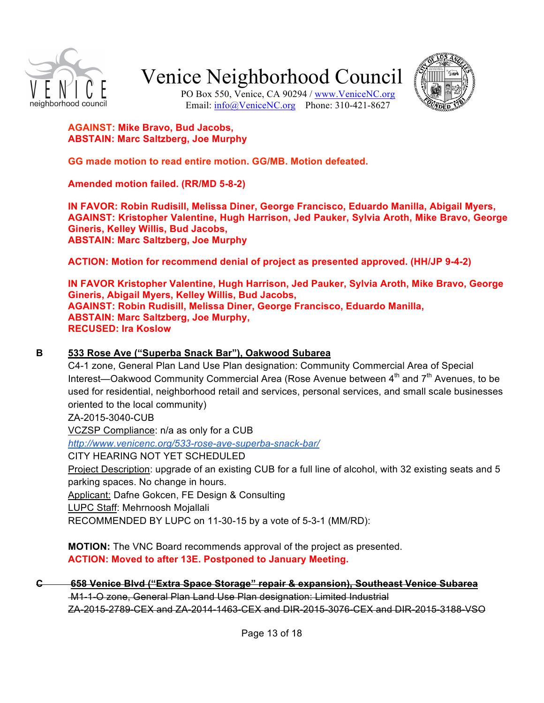



PO Box 550, Venice, CA 90294 / www.VeniceNC.org Email: info@VeniceNC.org Phone: 310-421-8627

#### **AGAINST: Mike Bravo, Bud Jacobs, ABSTAIN: Marc Saltzberg, Joe Murphy**

**GG made motion to read entire motion. GG/MB. Motion defeated.**

**Amended motion failed. (RR/MD 5-8-2)**

**IN FAVOR: Robin Rudisill, Melissa Diner, George Francisco, Eduardo Manilla, Abigail Myers, AGAINST: Kristopher Valentine, Hugh Harrison, Jed Pauker, Sylvia Aroth, Mike Bravo, George Gineris, Kelley Willis, Bud Jacobs, ABSTAIN: Marc Saltzberg, Joe Murphy**

**ACTION: Motion for recommend denial of project as presented approved. (HH/JP 9-4-2)**

**IN FAVOR Kristopher Valentine, Hugh Harrison, Jed Pauker, Sylvia Aroth, Mike Bravo, George Gineris, Abigail Myers, Kelley Willis, Bud Jacobs, AGAINST: Robin Rudisill, Melissa Diner, George Francisco, Eduardo Manilla, ABSTAIN: Marc Saltzberg, Joe Murphy, RECUSED: Ira Koslow**

#### **B 533 Rose Ave ("Superba Snack Bar"), Oakwood Subarea**

C4-1 zone, General Plan Land Use Plan designation: Community Commercial Area of Special Interest—Oakwood Community Commercial Area (Rose Avenue between 4<sup>th</sup> and 7<sup>th</sup> Avenues, to be used for residential, neighborhood retail and services, personal services, and small scale businesses oriented to the local community)

ZA-2015-3040-CUB

VCZSP Compliance: n/a as only for a CUB

*http://www.venicenc.org/533-rose-ave-superba-snack-bar/*

CITY HEARING NOT YET SCHEDULED

Project Description: upgrade of an existing CUB for a full line of alcohol, with 32 existing seats and 5 parking spaces. No change in hours.

Applicant: Dafne Gokcen, FE Design & Consulting

LUPC Staff: Mehrnoosh Mojallali

RECOMMENDED BY LUPC on 11-30-15 by a vote of 5-3-1 (MM/RD):

**MOTION:** The VNC Board recommends approval of the project as presented. **ACTION: Moved to after 13E. Postponed to January Meeting.**

## **C 658 Venice Blvd ("Extra Space Storage" repair & expansion), Southeast Venice Subarea**

 M1-1-O zone, General Plan Land Use Plan designation: Limited Industrial ZA-2015-2789-CEX and ZA-2014-1463-CEX and DIR-2015-3076-CEX and DIR-2015-3188-VSO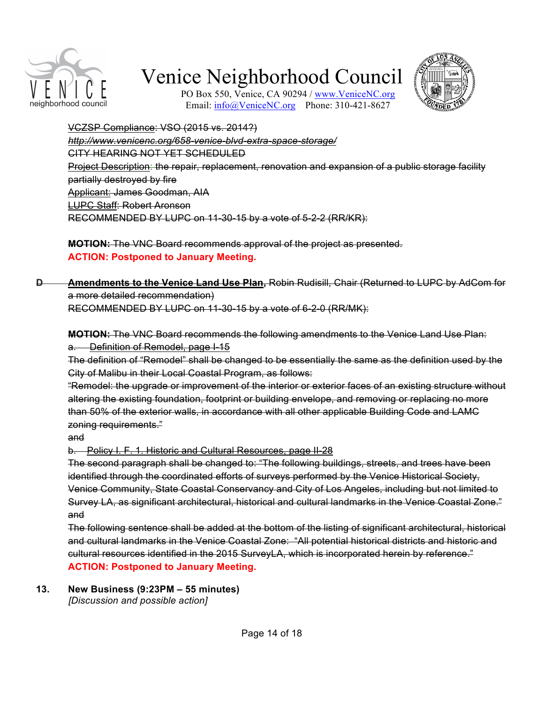



PO Box 550, Venice, CA 90294 / www.VeniceNC.org Email:  $info@$ VeniceNC.org Phone: 310-421-8627

VCZSP Compliance: VSO (2015 vs. 2014?) *http://www.venicenc.org/658-venice-blvd-extra-space-storage/* CITY HEARING NOT YET SCHEDULED Project Description: the repair, replacement, renovation and expansion of a public storage facility partially destroyed by fire Applicant: James Goodman, AIA LUPC Staff: Robert Aronson RECOMMENDED BY LUPC on 11-30-15 by a vote of 5-2-2 (RR/KR):

**MOTION:** The VNC Board recommends approval of the project as presented. **ACTION: Postponed to January Meeting.**

**D Amendments to the Venice Land Use Plan,** Robin Rudisill, Chair (Returned to LUPC by AdCom for a more detailed recommendation)

RECOMMENDED BY LUPC on 11-30-15 by a vote of 6-2-0 (RR/MK):

**MOTION:** The VNC Board recommends the following amendments to the Venice Land Use Plan: **Definition of Remodel, page I-15** 

The definition of "Remodel" shall be changed to be essentially the same as the definition used by the City of Malibu in their Local Coastal Program, as follows:

"Remodel: the upgrade or improvement of the interior or exterior faces of an existing structure without altering the existing foundation, footprint or building envelope, and removing or replacing no more than 50% of the exterior walls, in accordance with all other applicable Building Code and LAMC zoning requirements."

and

b. Policy I. F. 1. Historic and Cultural Resources, page II-28

The second paragraph shall be changed to: "The following buildings, streets, and trees have been identified through the coordinated efforts of surveys performed by the Venice Historical Society, Venice Community, State Coastal Conservancy and City of Los Angeles, including but not limited to Survey LA, as significant architectural, historical and cultural landmarks in the Venice Coastal Zone." and

The following sentence shall be added at the bottom of the listing of significant architectural, historical and cultural landmarks in the Venice Coastal Zone: "All potential historical districts and historic and cultural resources identified in the 2015 SurveyLA, which is incorporated herein by reference." **ACTION: Postponed to January Meeting.**

**13. New Business (9:23PM – 55 minutes)**

*[Discussion and possible action]*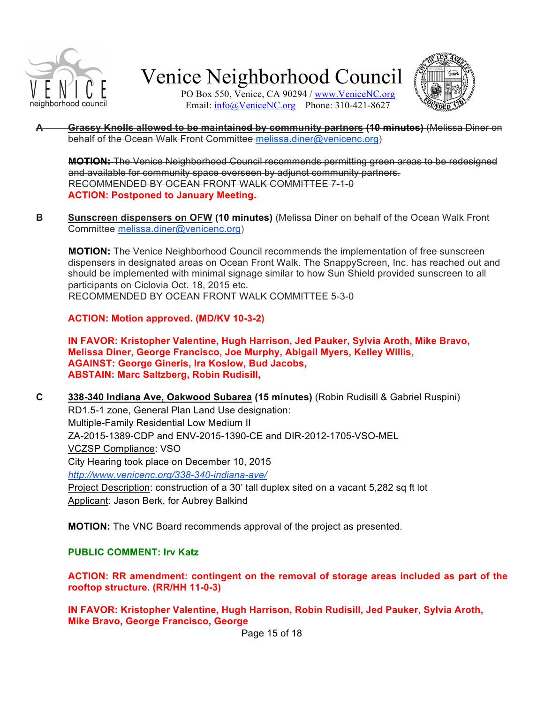

PO Box 550, Venice, CA 90294 / www.VeniceNC.org Email: info@VeniceNC.org Phone: 310-421-8627



**A Grassy Knolls allowed to be maintained by community partners (10 minutes)** (Melissa Diner on behalf of the Ocean Walk Front Committee melissa.diner@venicenc.org)

**MOTION:** The Venice Neighborhood Council recommends permitting green areas to be redesigned and available for community space overseen by adjunct community partners. RECOMMENDED BY OCEAN FRONT WALK COMMITTEE 7-1-0 **ACTION: Postponed to January Meeting.**

**B Sunscreen dispensers on OFW (10 minutes)** (Melissa Diner on behalf of the Ocean Walk Front Committee melissa.diner@venicenc.org)

**MOTION:** The Venice Neighborhood Council recommends the implementation of free sunscreen dispensers in designated areas on Ocean Front Walk. The SnappyScreen, Inc. has reached out and should be implemented with minimal signage similar to how Sun Shield provided sunscreen to all participants on Ciclovia Oct. 18, 2015 etc. RECOMMENDED BY OCEAN FRONT WALK COMMITTEE 5-3-0

**ACTION: Motion approved. (MD/KV 10-3-2)**

**IN FAVOR: Kristopher Valentine, Hugh Harrison, Jed Pauker, Sylvia Aroth, Mike Bravo, Melissa Diner, George Francisco, Joe Murphy, Abigail Myers, Kelley Willis, AGAINST: George Gineris, Ira Koslow, Bud Jacobs, ABSTAIN: Marc Saltzberg, Robin Rudisill,**

**C 338-340 Indiana Ave, Oakwood Subarea (15 minutes)** (Robin Rudisill & Gabriel Ruspini) RD1.5-1 zone, General Plan Land Use designation: Multiple-Family Residential Low Medium II ZA-2015-1389-CDP and ENV-2015-1390-CE and DIR-2012-1705-VSO-MEL VCZSP Compliance: VSO City Hearing took place on December 10, 2015 *http://www.venicenc.org/338-340-indiana-ave/* Project Description: construction of a 30' tall duplex sited on a vacant 5,282 sq ft lot Applicant: Jason Berk, for Aubrey Balkind

**MOTION:** The VNC Board recommends approval of the project as presented.

**PUBLIC COMMENT: Irv Katz**

**ACTION: RR amendment: contingent on the removal of storage areas included as part of the rooftop structure. (RR/HH 11-0-3)**

**IN FAVOR: Kristopher Valentine, Hugh Harrison, Robin Rudisill, Jed Pauker, Sylvia Aroth, Mike Bravo, George Francisco, George** 

Page 15 of 18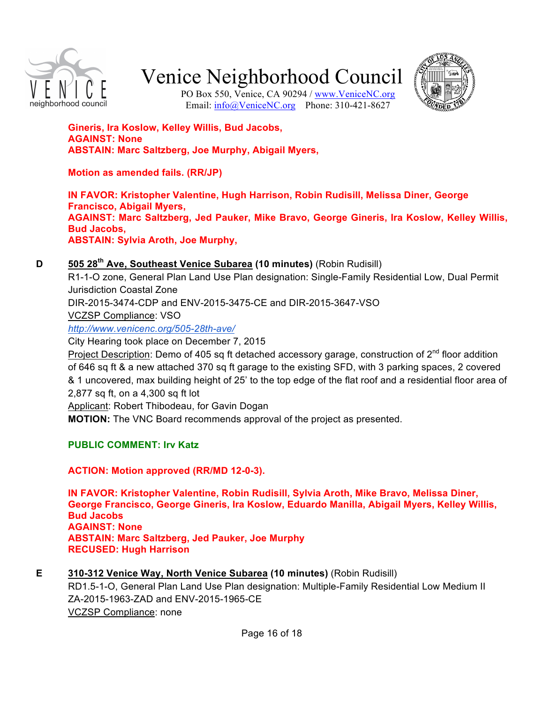



PO Box 550, Venice, CA 90294 / www.VeniceNC.org Email: info@VeniceNC.org Phone: 310-421-8627

**Gineris, Ira Koslow, Kelley Willis, Bud Jacobs, AGAINST: None ABSTAIN: Marc Saltzberg, Joe Murphy, Abigail Myers,**

**Motion as amended fails. (RR/JP)**

**IN FAVOR: Kristopher Valentine, Hugh Harrison, Robin Rudisill, Melissa Diner, George Francisco, Abigail Myers, AGAINST: Marc Saltzberg, Jed Pauker, Mike Bravo, George Gineris, Ira Koslow, Kelley Willis, Bud Jacobs, ABSTAIN: Sylvia Aroth, Joe Murphy,**

### **D 505 28th Ave, Southeast Venice Subarea (10 minutes)** (Robin Rudisill)

R1-1-O zone, General Plan Land Use Plan designation: Single-Family Residential Low, Dual Permit Jurisdiction Coastal Zone DIR-2015-3474-CDP and ENV-2015-3475-CE and DIR-2015-3647-VSO VCZSP Compliance: VSO

*http://www.venicenc.org/505-28th-ave/*

City Hearing took place on December 7, 2015

Project Description: Demo of 405 sq ft detached accessory garage, construction of  $2<sup>nd</sup>$  floor addition of 646 sq ft & a new attached 370 sq ft garage to the existing SFD, with 3 parking spaces, 2 covered & 1 uncovered, max building height of 25' to the top edge of the flat roof and a residential floor area of 2,877 sq ft, on a 4,300 sq ft lot

Applicant: Robert Thibodeau, for Gavin Dogan

**MOTION:** The VNC Board recommends approval of the project as presented.

## **PUBLIC COMMENT: Irv Katz**

## **ACTION: Motion approved (RR/MD 12-0-3).**

**IN FAVOR: Kristopher Valentine, Robin Rudisill, Sylvia Aroth, Mike Bravo, Melissa Diner, George Francisco, George Gineris, Ira Koslow, Eduardo Manilla, Abigail Myers, Kelley Willis, Bud Jacobs AGAINST: None ABSTAIN: Marc Saltzberg, Jed Pauker, Joe Murphy RECUSED: Hugh Harrison**

**E 310-312 Venice Way, North Venice Subarea (10 minutes)** (Robin Rudisill)

RD1.5-1-O, General Plan Land Use Plan designation: Multiple-Family Residential Low Medium II ZA-2015-1963-ZAD and ENV-2015-1965-CE VCZSP Compliance: none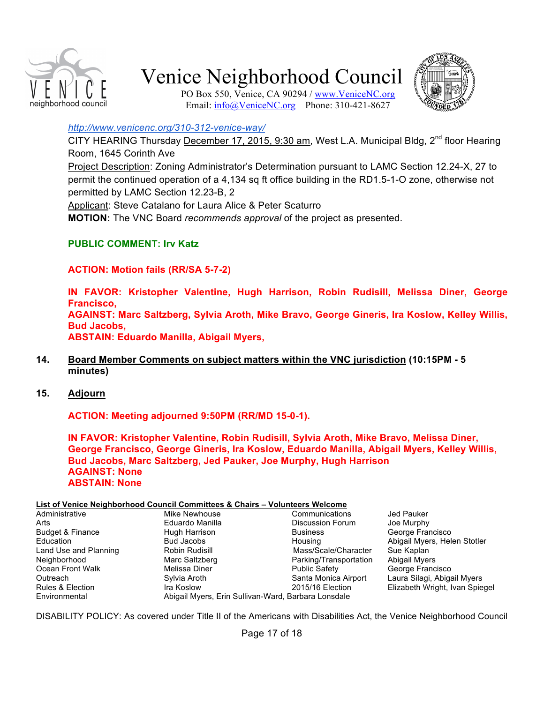

PO Box 550, Venice, CA 90294 / www.VeniceNC.org Email: info@VeniceNC.org Phone: 310-421-8627



#### *http://www.venicenc.org/310-312-venice-way/*

CITY HEARING Thursday December 17, 2015, 9:30 am, West L.A. Municipal Bldg,  $2^{nd}$  floor Hearing Room, 1645 Corinth Ave

Project Description: Zoning Administrator's Determination pursuant to LAMC Section 12.24-X, 27 to permit the continued operation of a 4,134 sq ft office building in the RD1.5-1-O zone, otherwise not permitted by LAMC Section 12.23-B, 2

Applicant: Steve Catalano for Laura Alice & Peter Scaturro

**MOTION:** The VNC Board *recommends approval* of the project as presented.

#### **PUBLIC COMMENT: Irv Katz**

**ACTION: Motion fails (RR/SA 5-7-2)**

**IN FAVOR: Kristopher Valentine, Hugh Harrison, Robin Rudisill, Melissa Diner, George Francisco, AGAINST: Marc Saltzberg, Sylvia Aroth, Mike Bravo, George Gineris, Ira Koslow, Kelley Willis, Bud Jacobs, ABSTAIN: Eduardo Manilla, Abigail Myers,**

- **14. Board Member Comments on subject matters within the VNC jurisdiction (10:15PM 5 minutes)**
- **15. Adjourn**

**ACTION: Meeting adjourned 9:50PM (RR/MD 15-0-1).**

**IN FAVOR: Kristopher Valentine, Robin Rudisill, Sylvia Aroth, Mike Bravo, Melissa Diner, George Francisco, George Gineris, Ira Koslow, Eduardo Manilla, Abigail Myers, Kelley Willis, Bud Jacobs, Marc Saltzberg, Jed Pauker, Joe Murphy, Hugh Harrison AGAINST: None ABSTAIN: None**

#### **List of Venice Neighborhood Council Committees & Chairs – Volunteers Welcome**

|                       | $-0.01$ , $0.000$ , $0.000$ , $0.000$ , $0.000$ , $0.000$ , $0.000$ , $0.000$ , $0.000$ |                         |                                |
|-----------------------|-----------------------------------------------------------------------------------------|-------------------------|--------------------------------|
| Administrative        | Mike Newhouse                                                                           | Communications          | Jed Pauker                     |
| Arts                  | Eduardo Manilla                                                                         | <b>Discussion Forum</b> | Joe Murphy                     |
| Budget & Finance      | Hugh Harrison                                                                           | <b>Business</b>         | George Francisco               |
| Education             | <b>Bud Jacobs</b>                                                                       | Housing                 | Abigail Myers, Helen Stotler   |
| Land Use and Planning | Robin Rudisill                                                                          | Mass/Scale/Character    | Sue Kaplan                     |
| Neighborhood          | Marc Saltzberg                                                                          | Parking/Transportation  | <b>Abigail Myers</b>           |
| Ocean Front Walk      | Melissa Diner                                                                           | <b>Public Safety</b>    | George Francisco               |
| Outreach              | Sylvia Aroth                                                                            | Santa Monica Airport    | Laura Silagi, Abigail Myers    |
| Rules & Election      | Ira Koslow                                                                              | 2015/16 Election        | Elizabeth Wright, Ivan Spiegel |
| Environmental         | Abigail Myers, Erin Sullivan-Ward, Barbara Lonsdale                                     |                         |                                |
|                       |                                                                                         |                         |                                |

DISABILITY POLICY: As covered under Title II of the Americans with Disabilities Act, the Venice Neighborhood Council